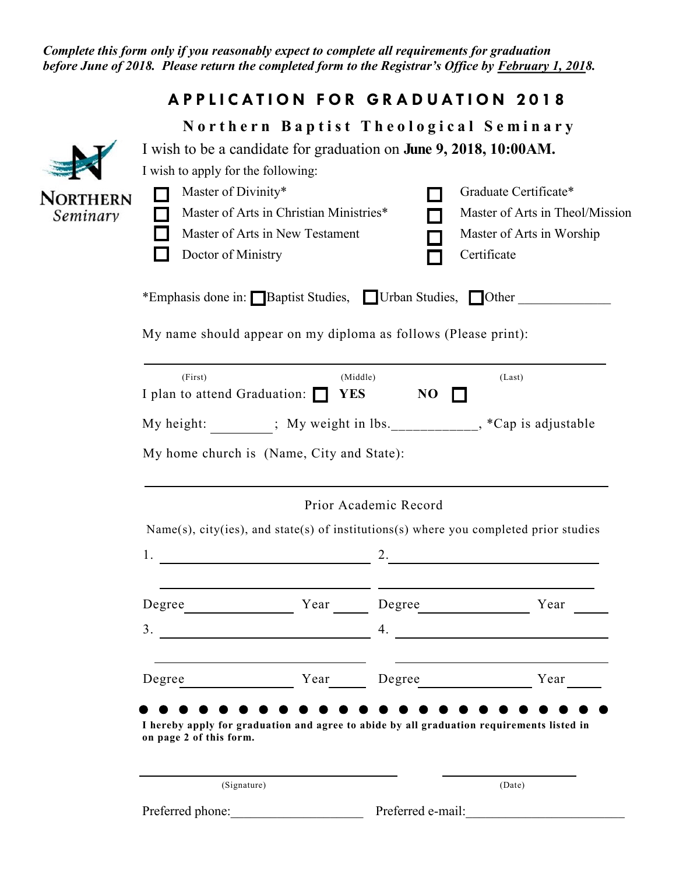*Complete this form only if you reasonably expect to complete all requirements for graduation before June of 2018. Please return the completed form to the Registrar's Office by February 1, 2018.*

## **A P P L I C A T I O N F O R G R A D U A T I O N 2 0 1 8**

|                             | Northern Baptist Theological Seminary<br>I wish to be a candidate for graduation on June 9, 2018, 10:00AM. |                                 |                                    |                                                          |  |
|-----------------------------|------------------------------------------------------------------------------------------------------------|---------------------------------|------------------------------------|----------------------------------------------------------|--|
|                             |                                                                                                            |                                 |                                    |                                                          |  |
|                             | I wish to apply for the following:                                                                         |                                 |                                    |                                                          |  |
| <b>NORTHERN</b><br>Seminary | Master of Divinity*<br>Master of Arts in Christian Ministries*                                             |                                 |                                    | Graduate Certificate*<br>Master of Arts in Theol/Mission |  |
|                             |                                                                                                            |                                 |                                    |                                                          |  |
|                             |                                                                                                            | Master of Arts in New Testament |                                    | Master of Arts in Worship                                |  |
|                             | Doctor of Ministry                                                                                         |                                 |                                    | Certificate                                              |  |
|                             | *Emphasis done in: Baptist Studies, Urban Studies, Other                                                   |                                 |                                    |                                                          |  |
|                             | My name should appear on my diploma as follows (Please print):                                             |                                 |                                    |                                                          |  |
|                             | (First)                                                                                                    |                                 | (Middle)<br>(Last)                 |                                                          |  |
|                             | I plan to attend Graduation: $\Box$<br><b>YES</b><br>N <sub>O</sub>                                        |                                 |                                    |                                                          |  |
|                             | My height: ; My weight in lbs. ____________, *Cap is adjustable                                            |                                 |                                    |                                                          |  |
|                             | My home church is (Name, City and State):                                                                  |                                 |                                    |                                                          |  |
|                             |                                                                                                            |                                 |                                    |                                                          |  |
|                             | Prior Academic Record                                                                                      |                                 |                                    |                                                          |  |
|                             | $Name(s)$ , city(ies), and state(s) of institutions(s) where you completed prior studies                   |                                 |                                    |                                                          |  |
|                             | 1.                                                                                                         |                                 | 2.                                 |                                                          |  |
|                             |                                                                                                            |                                 |                                    |                                                          |  |
|                             | Degree                                                                                                     | Year                            | Degree                             | Year                                                     |  |
|                             | 3.                                                                                                         |                                 | 4.                                 |                                                          |  |
|                             |                                                                                                            |                                 |                                    |                                                          |  |
|                             | Degree                                                                                                     |                                 | Year Degree                        | Year                                                     |  |
|                             |                                                                                                            |                                 |                                    |                                                          |  |
|                             | I hereby apply for graduation and agree to abide by all graduation requirements listed in                  |                                 |                                    |                                                          |  |
|                             | on page 2 of this form.                                                                                    |                                 |                                    |                                                          |  |
|                             | (Signature)                                                                                                |                                 |                                    | (Date)                                                   |  |
|                             |                                                                                                            |                                 | Preferred phone: Preferred e-mail: |                                                          |  |
|                             |                                                                                                            |                                 |                                    |                                                          |  |